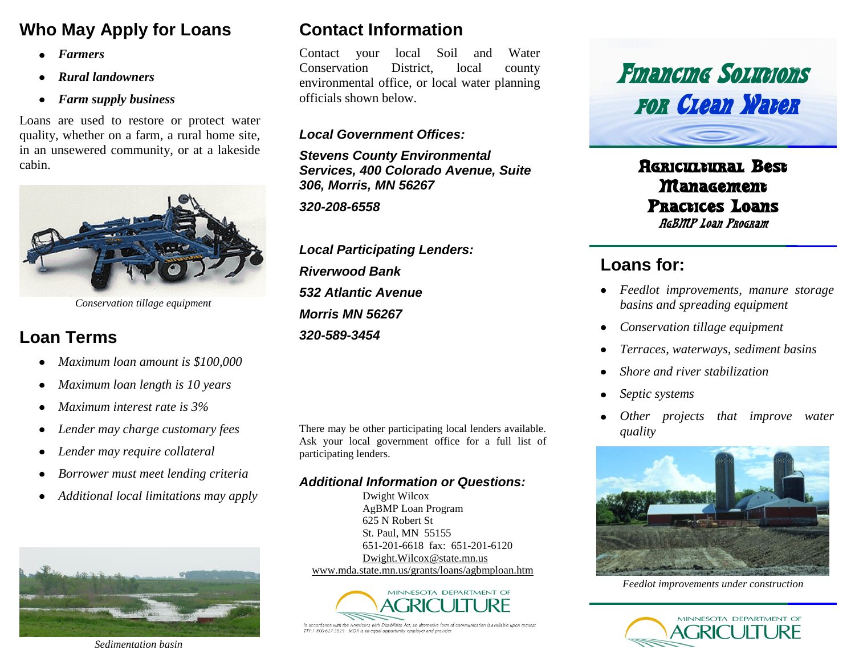# **Who May Apply for Loans**

- *Farmers*  $\bullet$
- *Rural landowners*  $\bullet$
- *Farm supply business*  $\bullet$

Loans are used to restore or protect water quality, whether on a farm, a rural home site, in an unsewered community, or at a lakeside cabin.



*Conservation tillage equipment*

## **Loan Terms**

- *Maximum loan amount is \$100,000*  $\bullet$
- *Maximum loan length is 10 years*  $\bullet$
- *Maximum interest rate is 3%*  $\bullet$
- *Lender may charge customary fees*  $\bullet$
- *Lender may require collateral*  $\bullet$
- *Borrower must meet lending criteria*  $\bullet$
- *Additional local limitations may apply*



*Sedimentation basin*

## **Contact Information**

Contact your local Soil and Water Conservation District, local county environmental office, or local water planning officials shown below.

#### *Local Government Offices:*

*Stevens County Environmental Services, 400 Colorado Avenue, Suite 306, Morris, MN 56267*

*320-208-6558*

*Local Participating Lenders: Riverwood Bank 532 Atlantic Avenue Morris MN 56267 320-589-3454*

There may be other participating local lenders available. *quality* Ask your local government office for a full list of participating lenders.

#### *Additional Information or Questions:*

Dwight Wilcox AgBMP Loan Program 625 N Robert St St. Paul, MN 55155 651-201-6618 fax: 651-201-6120 [Dwight.Wilcox@state.mn.us](mailto:Dwight.Wilcox@state.mn.us) [www.mda.state.mn.us/grants/loans/agbmploan.htm](http://www.mda.state.mn.us/grants/loans/agbmploan.htm)



In accordance with the Americans with Disabilities Act, an alternative form of communication is available upon requesi TTY:1-800-627-3529 MDA is an equal opportunity employer and provide



Agricultural Best **Management** Practices Loans AgBMP Loan Program

## **Loans for:**

- *Feedlot improvements, manure storage basins and spreading equipment*
- *Conservation tillage equipment*  $\bullet$
- *Terraces, waterways, sediment basins*
- *Shore and river stabilization*
- *Septic systems*
- *Other projects that improve water*



*Feedlot improvements under construction*